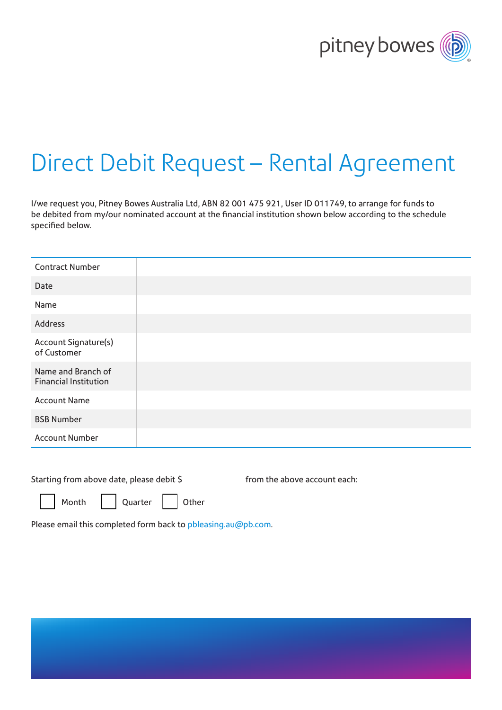

# Direct Debit Request – Rental Agreement

I/we request you, Pitney Bowes Australia Ltd, ABN 82 001 475 921, User ID 011749, to arrange for funds to be debited from my/our nominated account at the financial institution shown below according to the schedule specified below.

| <b>Contract Number</b>                             |  |
|----------------------------------------------------|--|
| Date                                               |  |
| Name                                               |  |
| Address                                            |  |
| Account Signature(s)<br>of Customer                |  |
| Name and Branch of<br><b>Financial Institution</b> |  |
| <b>Account Name</b>                                |  |
| <b>BSB Number</b>                                  |  |
| <b>Account Number</b>                              |  |

from the above account each:

| Month |  | Ouarter |  | Other |
|-------|--|---------|--|-------|
|-------|--|---------|--|-------|

Please email this completed form back to [pbleasing.au@pb.com](mailto:pbleasing.au%40pb.com?subject=).